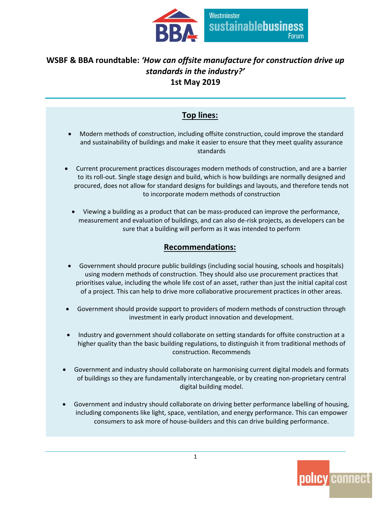

### **WSBF & BBA roundtable:** *'How can offsite manufacture for construction drive up standards in the industry?'* **1st May 2019**

### **Top lines:**

- Modern methods of construction, including offsite construction, could improve the standard and sustainability of buildings and make it easier to ensure that they meet quality assurance standards
- Current procurement practices discourages modern methods of construction, and are a barrier to its roll-out. Single stage design and build, which is how buildings are normally designed and procured, does not allow for standard designs for buildings and layouts, and therefore tends not to incorporate modern methods of construction
	- Viewing a building as a product that can be mass-produced can improve the performance, measurement and evaluation of buildings, and can also de-risk projects, as developers can be sure that a building will perform as it was intended to perform

#### **Recommendations:**

- Government should procure public buildings (including social housing, schools and hospitals) using modern methods of construction. They should also use procurement practices that prioritises value, including the whole life cost of an asset, rather than just the initial capital cost of a project. This can help to drive more collaborative procurement practices in other areas.
- Government should provide support to providers of modern methods of construction through investment in early product innovation and development.
- Industry and government should collaborate on setting standards for offsite construction at a higher quality than the basic building regulations, to distinguish it from traditional methods of construction. Recommends
- Government and industry should collaborate on harmonising current digital models and formats of buildings so they are fundamentally interchangeable, or by creating non-proprietary central digital building model.
- Government and industry should collaborate on driving better performance labelling of housing, including components like light, space, ventilation, and energy performance. This can empower consumers to ask more of house-builders and this can drive building performance.

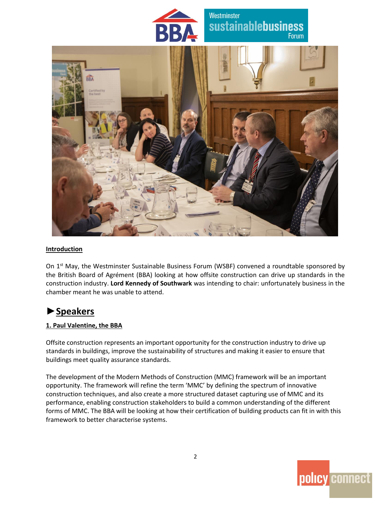

#### **Introduction**

On 1<sup>st</sup> May, the Westminster Sustainable Business Forum (WSBF) convened a roundtable sponsored by the British Board of Agrément (BBA) looking at how offsite construction can drive up standards in the construction industry. **Lord Kennedy of Southwark** was intending to chair: unfortunately business in the chamber meant he was unable to attend.

## **►Speakers**

#### **1. Paul Valentine, the BBA**

Offsite construction represents an important opportunity for the construction industry to drive up standards in buildings, improve the sustainability of structures and making it easier to ensure that buildings meet quality assurance standards.

The development of the Modern Methods of Construction (MMC) framework will be an important opportunity. The framework will refine the term 'MMC' by defining the spectrum of innovative construction techniques, and also create a more structured dataset capturing use of MMC and its performance, enabling construction stakeholders to build a common understanding of the different forms of MMC. The BBA will be looking at how their certification of building products can fit in with this framework to better characterise systems.

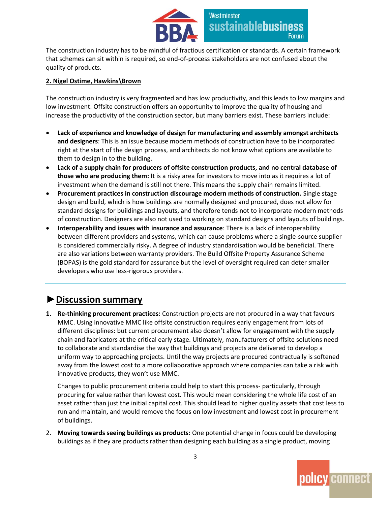

The construction industry has to be mindful of fractious certification or standards. A certain framework that schemes can sit within is required, so end-of-process stakeholders are not confused about the quality of products.

#### **2. Nigel Ostime, Hawkins\Brown**

The construction industry is very fragmented and has low productivity, and this leads to low margins and low investment. Offsite construction offers an opportunity to improve the quality of housing and increase the productivity of the construction sector, but many barriers exist. These barriers include:

- **Lack of experience and knowledge of design for manufacturing and assembly amongst architects and designers**: This is an issue because modern methods of construction have to be incorporated right at the start of the design process, and architects do not know what options are available to them to design in to the building.
- **Lack of a supply chain for producers of offsite construction products, and no central database of those who are producing them:** It is a risky area for investors to move into as it requires a lot of investment when the demand is still not there. This means the supply chain remains limited.
- **Procurement practices in construction discourage modern methods of construction.** Single stage design and build, which is how buildings are normally designed and procured, does not allow for standard designs for buildings and layouts, and therefore tends not to incorporate modern methods of construction. Designers are also not used to working on standard designs and layouts of buildings.
- **Interoperability and issues with insurance and assurance**: There is a lack of interoperability between different providers and systems, which can cause problems where a single-source supplier is considered commercially risky. A degree of industry standardisation would be beneficial. There are also variations between warranty providers. The Build Offsite Property Assurance Scheme (BOPAS) is the gold standard for assurance but the level of oversight required can deter smaller developers who use less-rigorous providers.

## **►Discussion summary**

**1. Re-thinking procurement practices:** Construction projects are not procured in a way that favours MMC. Using innovative MMC like offsite construction requires early engagement from lots of different disciplines: but current procurement also doesn't allow for engagement with the supply chain and fabricators at the critical early stage. Ultimately, manufacturers of offsite solutions need to collaborate and standardise the way that buildings and projects are delivered to develop a uniform way to approaching projects. Until the way projects are procured contractually is softened away from the lowest cost to a more collaborative approach where companies can take a risk with innovative products, they won't use MMC.

Changes to public procurement criteria could help to start this process- particularly, through procuring for value rather than lowest cost. This would mean considering the whole life cost of an asset rather than just the initial capital cost. This should lead to higher quality assets that cost less to run and maintain, and would remove the focus on low investment and lowest cost in procurement of buildings.

2. **Moving towards seeing buildings as products:** One potential change in focus could be developing buildings as if they are products rather than designing each building as a single product, moving

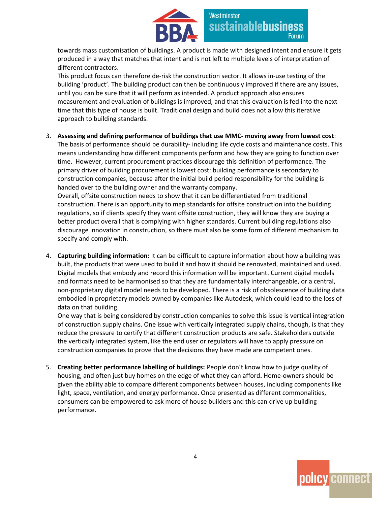

towards mass customisation of buildings. A product is made with designed intent and ensure it gets produced in a way that matches that intent and is not left to multiple levels of interpretation of different contractors.

This product focus can therefore de-risk the construction sector. It allows in-use testing of the building 'product'. The building product can then be continuously improved if there are any issues, until you can be sure that it will perform as intended. A product approach also ensures measurement and evaluation of buildings is improved, and that this evaluation is fed into the next time that this type of house is built. Traditional design and build does not allow this iterative approach to building standards.

3. **Assessing and defining performance of buildings that use MMC- moving away from lowest cost**:

The basis of performance should be durability- including life cycle costs and maintenance costs. This means understanding how different components perform and how they are going to function over time. However, current procurement practices discourage this definition of performance. The primary driver of building procurement is lowest cost: building performance is secondary to construction companies, because after the initial build period responsibility for the building is handed over to the building owner and the warranty company.

Overall, offsite construction needs to show that it can be differentiated from traditional construction. There is an opportunity to map standards for offsite construction into the building regulations, so if clients specify they want offsite construction, they will know they are buying a better product overall that is complying with higher standards. Current building regulations also discourage innovation in construction, so there must also be some form of different mechanism to specify and comply with.

4. **Capturing building information:** It can be difficult to capture information about how a building was built, the products that were used to build it and how it should be renovated, maintained and used. Digital models that embody and record this information will be important. Current digital models and formats need to be harmonised so that they are fundamentally interchangeable, or a central, non-proprietary digital model needs to be developed. There is a risk of obsolescence of building data embodied in proprietary models owned by companies like Autodesk, which could lead to the loss of data on that building.

One way that is being considered by construction companies to solve this issue is vertical integration of construction supply chains. One issue with vertically integrated supply chains, though, is that they reduce the pressure to certify that different construction products are safe. Stakeholders outside the vertically integrated system, like the end user or regulators will have to apply pressure on construction companies to prove that the decisions they have made are competent ones.

5. **Creating better performance labelling of buildings:** People don't know how to judge quality of housing, and often just buy homes on the edge of what they can afford**.** Home-owners should be given the ability able to compare different components between houses, including components like light, space, ventilation, and energy performance. Once presented as different commonalities, consumers can be empowered to ask more of house builders and this can drive up building performance.